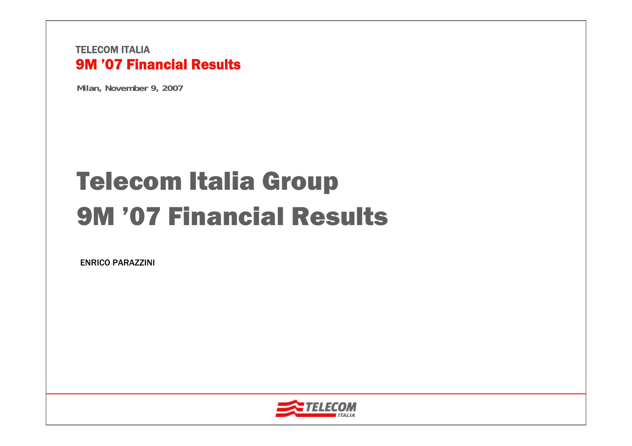**Milan, November 9, 2007**

# Telecom Italia Group 9M '07 Financial Results

ENRICO PARAZZINI

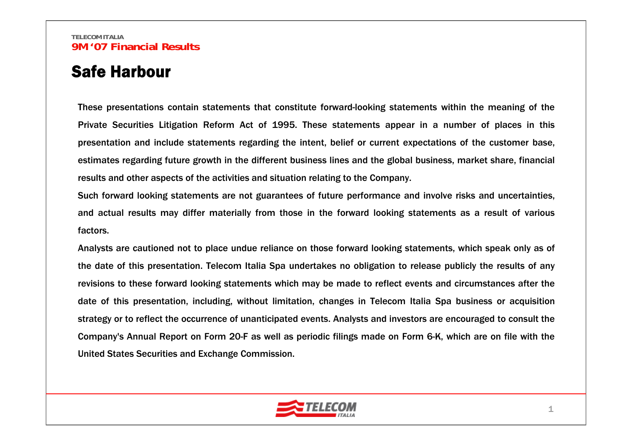### Safe Harbour

These presentations contain statements that constitute forward-looking statements within the meaning of the Private Securities Litigation Reform Act of 1995. These statements appear in a number of places in this presentation and include statements regarding the intent, belief or current expectations of the customer base, estimates regarding future growth in the different business lines and the global business, market share, financial results and other aspects of the activities and situation relating to the Company.

Such forward looking statements are not guarantees of future performance and involve risks and uncertainties, and actual results may differ materially from those in the forward looking statements as a result of various factors.

Analysts are cautioned not to place undue reliance on those forward looking statements, which speak only as of the date of this presentation. Telecom Italia Spa undertakes no obligation to release publicly the results of any revisions to these forward looking statements which may be made to reflect events and circumstances after the date of this presentation, including, without limitation, changes in Telecom Italia Spa business or acquisition strategy or to reflect the occurrence of unanticipated events. Analysts and investors are encouraged to consult the Company's Annual Report on Form 20-F as well as periodic filings made on Form 6-K, which are on file with the United States Securities and Exchange Commission.

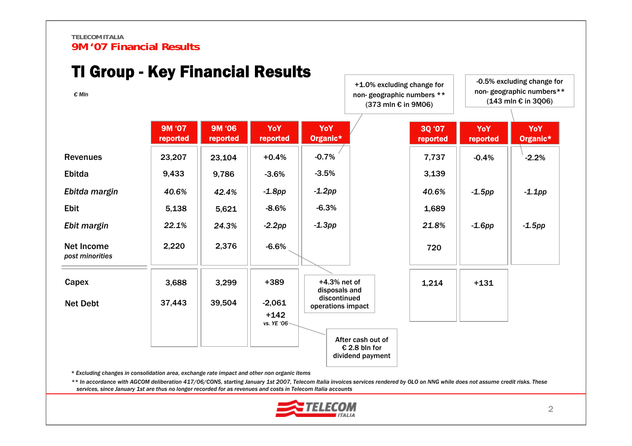| <u> II Group - Key Financial Results</u><br>$\epsilon$ MIn |                           |                    |                                   |                                   | +1.0% excluding change for<br>non-geographic numbers **<br>(373 mln € in 9M06) |                    | -0.5% excluding change for<br>non-geographic numbers**<br>$(143 \text{ min} \epsilon \text{ in } 3006)$ |                 |  |  |
|------------------------------------------------------------|---------------------------|--------------------|-----------------------------------|-----------------------------------|--------------------------------------------------------------------------------|--------------------|---------------------------------------------------------------------------------------------------------|-----------------|--|--|
|                                                            | <b>9M '07</b><br>reported | 9M '06<br>reported | YoY<br>reported                   | YoY<br>Organic*                   |                                                                                | 3Q '07<br>reported | YoY<br>reported                                                                                         | YoY<br>Organic* |  |  |
| <b>Revenues</b>                                            | 23,207                    | 23,104             | $+0.4%$                           | $-0.7%$                           |                                                                                | 7,737              | $-0.4%$                                                                                                 | $-2.2%$         |  |  |
| Ebitda                                                     | 9,433                     | 9,786              | $-3.6%$                           | $-3.5%$                           |                                                                                | 3,139              |                                                                                                         |                 |  |  |
| Ebitda margin                                              | 40.6%                     | 42.4%              | $-1.8pp$                          | $-1.2pp$                          |                                                                                | 40.6%              | $-1.5$ pp                                                                                               | $-1.1$ pp       |  |  |
| <b>Ebit</b>                                                | 5,138                     | 5,621              | $-8.6%$                           | $-6.3%$                           |                                                                                | 1,689              |                                                                                                         |                 |  |  |
| Ebit margin                                                | 22.1%                     | 24.3%              | $-2.2pp$                          | $-1.3pp$                          |                                                                                | 21.8%              | $-1.6$ pp                                                                                               | $-1.5$ pp       |  |  |
| <b>Net Income</b><br>post minorities                       | 2,220                     | 2,376              | $-6.6%$                           |                                   |                                                                                | 720                |                                                                                                         |                 |  |  |
| Capex                                                      | 3,688                     | 3,299              | +389                              | $+4.3%$ net of<br>disposals and   |                                                                                | 1,214              | $+131$                                                                                                  |                 |  |  |
| <b>Net Debt</b>                                            | 37,443                    | 39,504             | $-2,061$<br>$+142$<br>vs. YE '06- | discontinued<br>operations impact |                                                                                |                    |                                                                                                         |                 |  |  |
|                                                            |                           |                    |                                   |                                   | After cash out of<br>€ 2.8 bln for<br>dividend payment                         |                    |                                                                                                         |                 |  |  |

TI Assume *Vay* Financial Results

*\* Excluding changes in consolidation area, exchange rate impact and other non organic items*

*\*\* In accordance with AGCOM deliberation 417/06/CONS, starting January 1st 2007, Telecom Italia invoices services rendered by OLO on NNG while does not assume credit risks. These services, since January 1st are thus no longer recorded for as revenues and costs in Telecom Italia accounts*

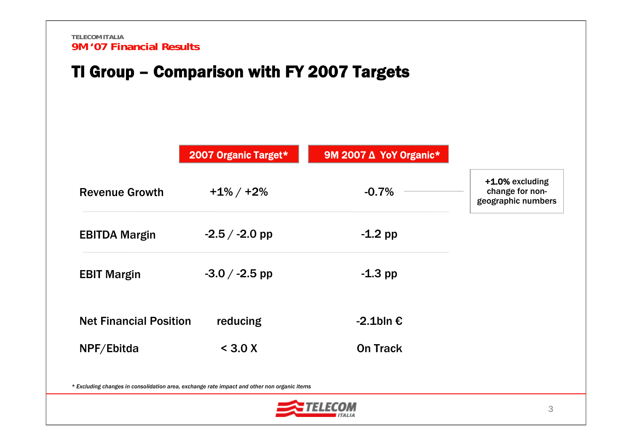### TI Group – Comparison with FY 2007 Targets

|                               | 2007 Organic Target*                                                                        | 9M 2007 ∆ YoY Organic* |                                                          |
|-------------------------------|---------------------------------------------------------------------------------------------|------------------------|----------------------------------------------------------|
| <b>Revenue Growth</b>         | $+1\% / +2\%$                                                                               | $-0.7%$                | +1.0% excluding<br>change for non-<br>geographic numbers |
| <b>EBITDA Margin</b>          | $-2.5 / -2.0$ pp                                                                            | $-1.2$ pp              |                                                          |
| <b>EBIT Margin</b>            | $-3.0 / -2.5$ pp                                                                            | $-1.3$ pp              |                                                          |
| <b>Net Financial Position</b> | reducing                                                                                    | $-2.1$ bln $\epsilon$  |                                                          |
| NPF/Ebitda                    | < 3.0 X                                                                                     | <b>On Track</b>        |                                                          |
|                               | * Excluding changes in consolidation area, exchange rate impact and other non organic items |                        |                                                          |

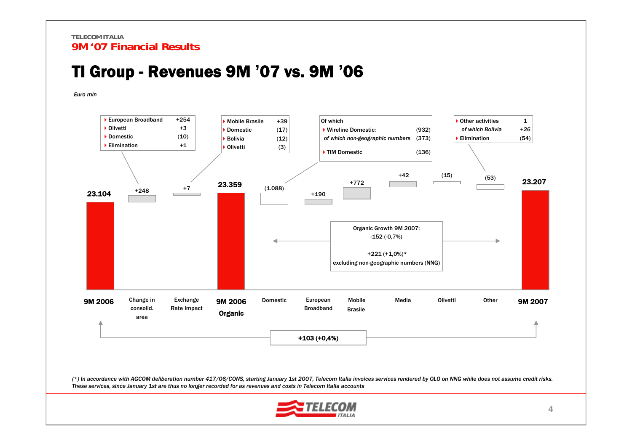### TI Group - Revenues 9M **'**07 vs. 9M **'**06

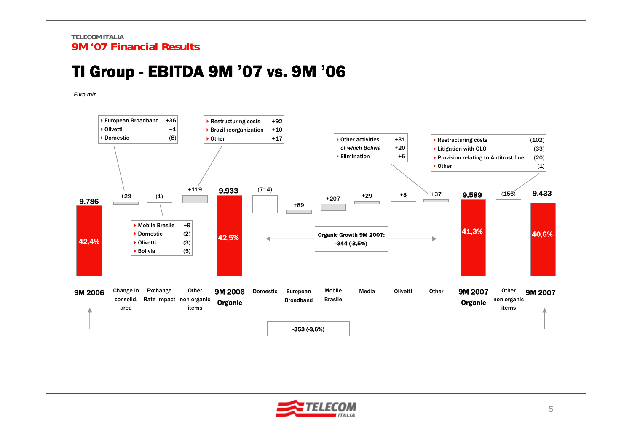### TI Group - EBITDA 9M **'**07 vs. 9M **'**06



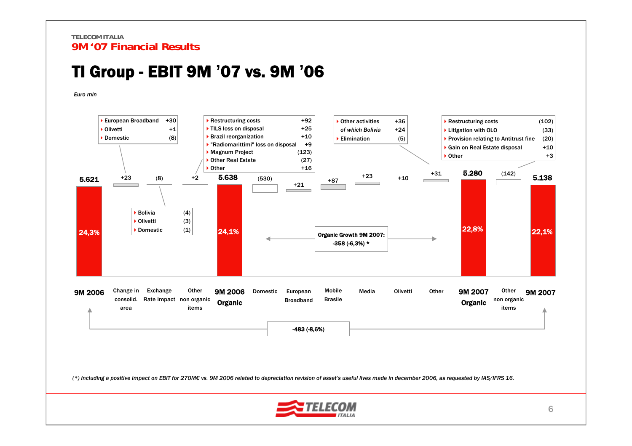### TI Group - EBIT 9M **'**07 vs. 9M **'**06

*Euro mln*



(\*) Including a positive impact on EBIT for 270M€ vs. 9M 2006 related to depreciation revision of asset's useful lives made in december 2006, as requested by IAS/IFRS 16.

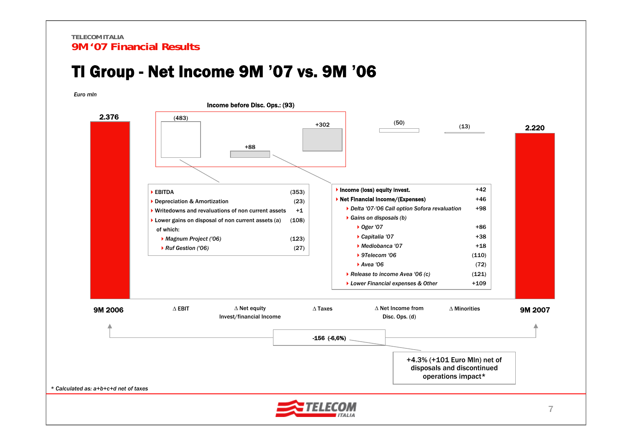### TI Group - Net Income 9M **'**07 vs. 9M **'**06

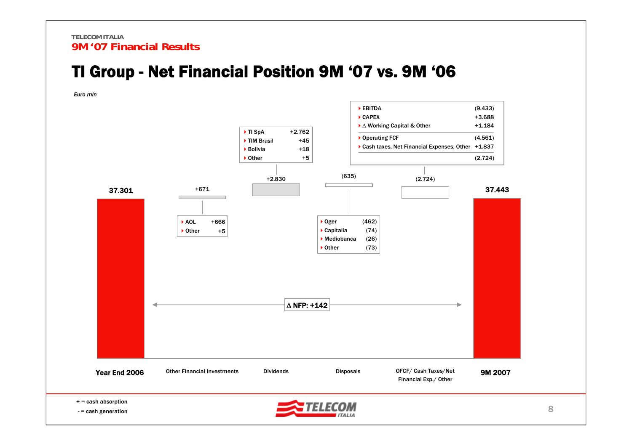### TI Group - Net Financial Position 9M '07 vs. 9M '06

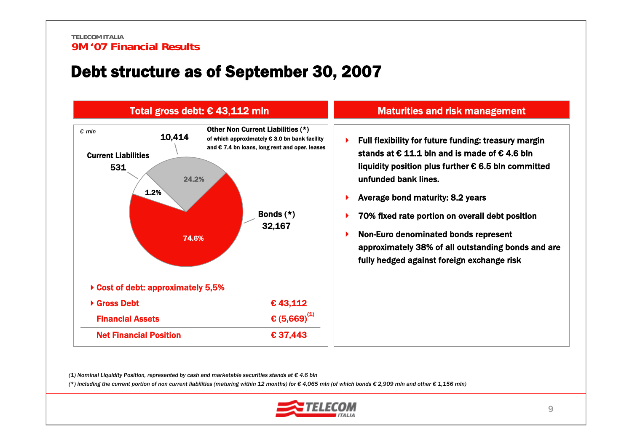### Debt structure as of September 30, 2007



#### Maturities and risk management

- ▶ Full flexibility for future funding: treasury margin stands at € 11.1 bln and is made of € 4.6 blnliquidity position plus further  $\epsilon$  6.5 bln committed unfunded bank lines.
- ▶ Average bond maturity: 8.2 years
- Þ. 70% fixed rate portion on overall debt position
- ▶ Non-Euro denominated bonds represent approximately 38% of all outstanding bonds and are fully hedged against foreign exchange risk

*(1) Nominal Liquidity Position, represented by cash and marketable securities stands at € 4.6 bln*

(\*) including the current portion of non current liabilities (maturing within 12 months) for € 4,065 mln (of which bonds € 2,909 mln and other € 1,156 mln)

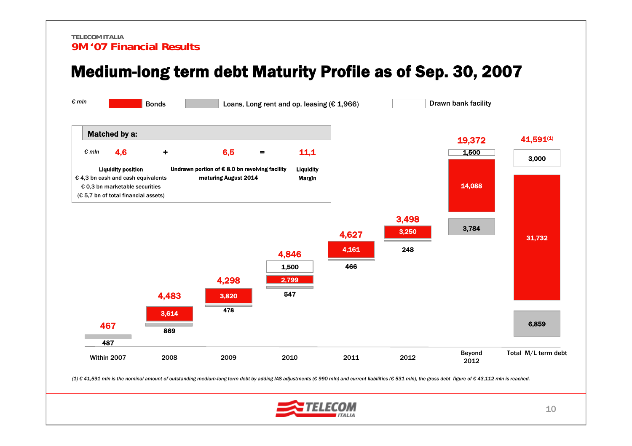### Medium-long term debt Maturity Profile as of Sep. 30, 2007



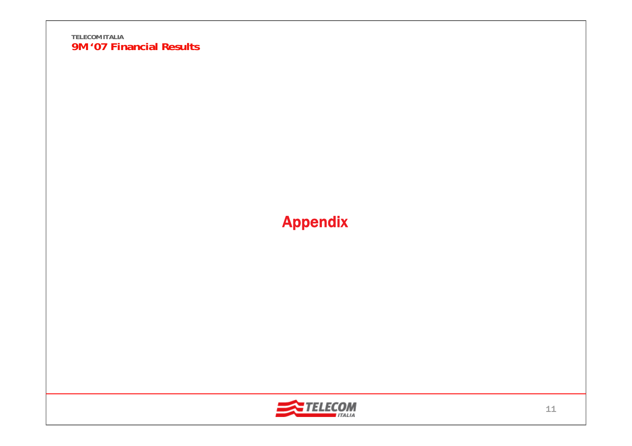## Appendix

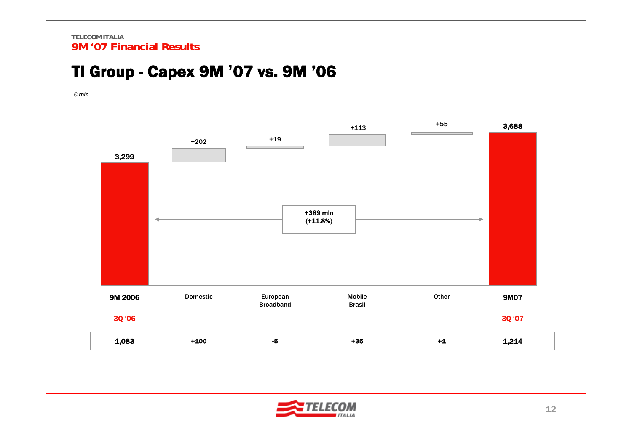### TI Group - Capex 9M **'**07 vs. 9M '06

*€ mln*



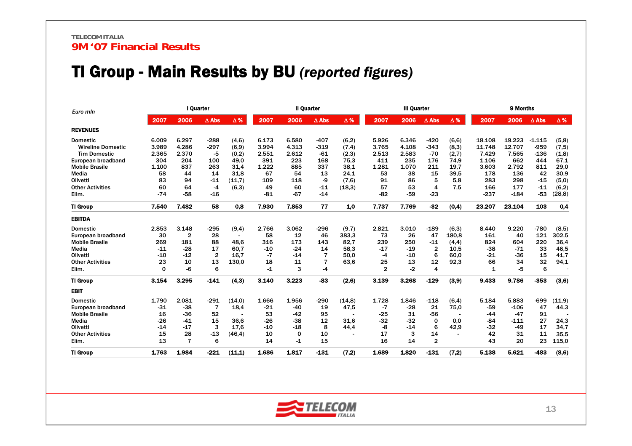### TI Group - Main Results by BU *(reported figures)*

| Euro min                 |       |                | l Quarter    |            |       | <b>Il Quarter</b> |              | <b>III Quarter</b> |              |       | 9 Months       |            |        |        |              |            |
|--------------------------|-------|----------------|--------------|------------|-------|-------------------|--------------|--------------------|--------------|-------|----------------|------------|--------|--------|--------------|------------|
|                          | 2007  | 2006           | $\Delta$ Abs | $\Delta$ % | 2007  | 2006              | $\Delta$ Abs | $\Delta$ %         | 2007         | 2006  | $\Delta$ Abs   | $\Delta$ % | 2007   | 2006   | $\Delta$ Abs | $\Delta$ % |
| <b>REVENUES</b>          |       |                |              |            |       |                   |              |                    |              |       |                |            |        |        |              |            |
| <b>Domestic</b>          | 6.009 | 6.297          | $-288$       | (4,6)      | 6.173 | 6.580             | $-407$       | (6,2)              | 5.926        | 6.346 | $-420$         | (6.6)      | 18.108 | 19.223 | $-1.115$     | (5,8)      |
| <b>Wireline Domestic</b> | 3.989 | 4.286          | $-297$       | (6, 9)     | 3.994 | 4.313             | $-319$       | (7,4)              | 3.765        | 4.108 | $-343$         | (8,3)      | 11.748 | 12.707 | $-959$       | (7, 5)     |
| <b>Tim Domestic</b>      | 2.365 | 2.370          | $-5$         | (0,2)      | 2.551 | 2.612             | $-61$        | (2,3)              | 2.513        | 2.583 | $-70$          | (2,7)      | 7.429  | 7.565  | $-136$       | (1,8)      |
| European broadband       | 304   | 204            | 100          | 49,0       | 391   | 223               | 168          | 75,3               | 411          | 235   | 176            | 74,9       | 1.106  | 662    | 444          | 67,1       |
| <b>Mobile Brasile</b>    | 1.100 | 837            | 263          | 31,4       | 1.222 | 885               | 337          | 38,1               | 1.281        | 1.070 | 211            | 19,7       | 3.603  | 2.792  | 811          | 29,0       |
| Media                    | 58    | 44             | 14           | 31.8       | 67    | 54                | 13           | 24.1               | 53           | 38    | 15             | 39.5       | 178    | 136    | 42           | 30,9       |
| Olivetti                 | 83    | 94             | $-11$        | (11,7)     | 109   | 118               | -9           | (7,6)              | 91           | 86    | 5              | 5,8        | 283    | 298    | $-15$        | (5,0)      |
| <b>Other Activities</b>  | 60    | 64             | $-4$         | (6,3)      | 49    | 60                | $-11$        | (18, 3)            | 57           | 53    | 4              | 7,5        | 166    | 177    | $-11$        | (6,2)      |
| Elim.                    | $-74$ | $-58$          | $-16$        |            | $-81$ | -67               | $-14$        |                    | $-82$        | -59   | $-23$          |            | $-237$ | $-184$ | $-53$        | (28, 8)    |
| <b>TI Group</b>          | 7.540 | 7.482          | 58           | 0.8        | 7.930 | 7.853             | 77           | 1.0                | 7.737        | 7.769 | $-32$          | (0,4)      | 23.207 | 23.104 | 103          | 0.4        |
| <b>EBITDA</b>            |       |                |              |            |       |                   |              |                    |              |       |                |            |        |        |              |            |
| <b>Domestic</b>          | 2.853 | 3.148          | -295         | (9,4)      | 2.766 | 3.062             | $-296$       | (9,7)              | 2.821        | 3.010 | $-189$         | (6,3)      | 8.440  | 9.220  | $-780$       | (8,5)      |
| European broadband       | 30    | $\mathbf{2}$   | 28           |            | 58    | 12                | 46           | 383.3              | 73           | 26    | 47             | 180.8      | 161    | 40     | 121          | 302,5      |
| <b>Mobile Brasile</b>    | 269   | 181            | 88           | 48.6       | 316   | 173               | 143          | 82.7               | 239          | 250   | $-11$          | (4,4)      | 824    | 604    | 220          | 36,4       |
| Media                    | $-11$ | $-28$          | 17           | 60.7       | $-10$ | $-24$             | 14           | 58.3               | -17          | $-19$ | $\overline{2}$ | 10.5       | $-38$  | $-71$  | 33           | 46.5       |
| Olivetti                 | $-10$ | $-12$          | $\mathbf{2}$ | 16.7       | $-7$  | $-14$             | 7            | 50.0               | -4           | $-10$ | 6              | 60,0       | $-21$  | -36    | 15           | 41,7       |
| <b>Other Activities</b>  | 23    | 10             | 13           | 130.0      | 18    | 11                | 7            | 63.6               | 25           | 13    | 12             | 92,3       | 66     | 34     | 32           | 94,1       |
| Elim.                    | 0     | -6             | 6            |            | -1    | 3                 | -4           |                    | $\mathbf{2}$ | $-2$  | 4              |            | 1      | -5     | 6            |            |
| <b>TI Group</b>          | 3.154 | 3.295          | $-141$       | (4,3)      | 3.140 | 3.223             | -83          | (2.6)              | 3.139        | 3.268 | $-129$         | (3,9)      | 9.433  | 9.786  | $-353$       | (3,6)      |
| <b>EBIT</b>              |       |                |              |            |       |                   |              |                    |              |       |                |            |        |        |              |            |
| <b>Domestic</b>          | 1.790 | 2.081          | -291         | (14,0)     | 1.666 | 1.956             | $-290$       | (14, 8)            | 1.728        | 1.846 | -118           | (6,4)      | 5.184  | 5.883  | -699         | (11,9)     |
| European broadband       | $-31$ | $-38$          | 7            | 18,4       | $-21$ | -40               | 19           | 47,5               | -7           | $-28$ | 21             | 75,0       | $-59$  | $-106$ | 47           | 44,3       |
| <b>Mobile Brasile</b>    | 16    | $-36$          | 52           |            | 53    | $-42$             | 95           |                    | $-25$        | 31    | $-56$          |            | $-44$  | $-47$  | 91           |            |
| Media                    | $-26$ | $-41$          | 15           | 36.6       | $-26$ | $-38$             | 12           | 31.6               | $-32$        | $-32$ | 0              | 0.0        | -84    | $-111$ | 27           | 24,3       |
| Olivetti                 | $-14$ | $-17$          | 3            | 17.6       | $-10$ | $-18$             | 8            | 44,4               | -8           | $-14$ | 6              | 42,9       | $-32$  | $-49$  | 17           | 34,7       |
| <b>Other Activities</b>  | 15    | 28             | $-13$        | (46.4)     | 10    | $\Omega$          | 10           |                    | 17           | 3     | 14             |            | 42     | 31     | 11           | 35,5       |
| Elim.                    | 13    | $\overline{7}$ | 6            |            | 14    | -1                | 15           |                    | 16           | 14    | $\overline{2}$ |            | 43     | 20     | 23           | 115,0      |
| <b>TI Group</b>          | 1.763 | 1.984          | $-221$       | (11, 1)    | 1.686 | 1.817             | -131         | (7.2)              | 1.689        | 1.820 | $-131$         | (7,2)      | 5.138  | 5.621  | -483         | (8,6)      |

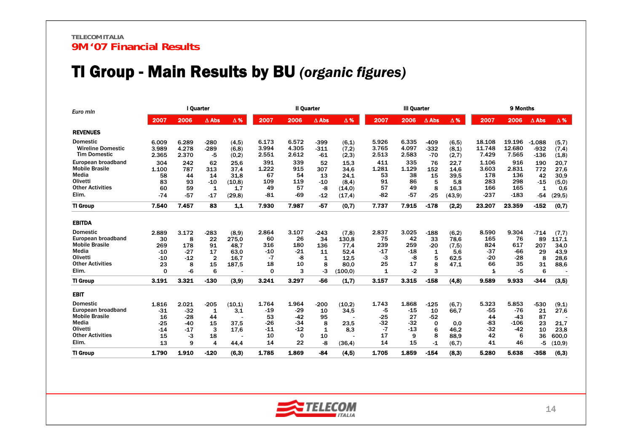### TI Group - Main Results by BU *(organic figures)*

| Euro mln                 |             | I Quarter |                |            |          | <b>Il Quarter</b> |              |            | <b>III Quarter</b> |       |              | 9 Months   |        |        |              |            |
|--------------------------|-------------|-----------|----------------|------------|----------|-------------------|--------------|------------|--------------------|-------|--------------|------------|--------|--------|--------------|------------|
|                          | 2007        | 2006      | $\Delta$ Abs   | $\Delta$ % | 2007     | 2006              | $\Delta$ Abs | $\Delta$ % | 2007               | 2006  | $\Delta$ Abs | $\Delta$ % | 2007   | 2006   | $\Delta$ Abs | $\Delta$ % |
| <b>REVENUES</b>          |             |           |                |            |          |                   |              |            |                    |       |              |            |        |        |              |            |
| <b>Domestic</b>          | 6.009       | 6.289     | $-280$         | (4, 5)     | 6.173    | 6.572             | -399         | (6,1)      | 5.926              | 6.335 | $-409$       | (6, 5)     | 18.108 | 19.196 | $-1.088$     | (5,7)      |
| <b>Wireline Domestic</b> | 3.989       | 4.278     | $-289$         | (6,8)      | 3.994    | 4.305             | $-311$       | (7,2)      | 3.765              | 4.097 | $-332$       | (8,1)      | 11.748 | 12.680 | $-932$       | (7,4)      |
| <b>Tim Domestic</b>      | 2.365       | 2.370     | -5             | (0,2)      | 2.551    | 2.612             | $-61$        | (2,3)      | 2.513              | 2.583 | $-70$        | (2,7)      | 7.429  | 7.565  | $-136$       | (1,8)      |
| European broadband       | 304         | 242       | 62             | 25.6       | 391      | 339               | 52           | 15.3       | 411                | 335   | 76           | 22.7       | 1.106  | 916    | 190          | 20,7       |
| <b>Mobile Brasile</b>    | 1.100       | 787       | 313            | 37.4       | 1.222    | 915               | 307          | 34.6       | 1.281              | 1.129 | 152          | 14.6       | 3.603  | 2.831  | 772          | 27.6       |
| Media                    | 58          | 44        | 14             | 31,8       | 67       | 54                | 13           | 24.1       | 53                 | 38    | 15           | 39,5       | 178    | 136    | 42           | 30,9       |
| Olivetti                 | 83          | 93        | $-10$          | (10, 8)    | 109      | 119               | $-10$        | (8,4)      | 91                 | 86    | 5            | 5.8        | 283    | 298    | $-15$        | (5,0)      |
| <b>Other Activities</b>  | 60          | 59        | 1              | 1,7        | 49       | 57                | -8           | (14,0)     | 57                 | 49    | 8            | 16.3       | 166    | 165    | 1            | 0,6        |
| Elim.                    | $-74$       | $-57$     | -17            | (29, 8)    | $-81$    | $-69$             | $-12$        | (17, 4)    | -82                | $-57$ | $-25$        | (43, 9)    | $-237$ | $-183$ | $-54$        | (29,5)     |
| <b>TI Group</b>          | 7.540       | 7.457     | 83             | $1.1$      | 7.930    | 7.987             | $-57$        | (0,7)      | 7.737              | 7.915 | $-178$       | (2.2)      | 23.207 | 23.359 | $-152$       | (0,7)      |
| <b>EBITDA</b>            |             |           |                |            |          |                   |              |            |                    |       |              |            |        |        |              |            |
| <b>Domestic</b>          | 2.889       | 3.172     | $-283$         | (8,9)      | 2.864    | 3.107             | $-243$       | (7,8)      | 2.837              | 3.025 | $-188$       | (6,2)      | 8.590  | 9.304  | $-714$       | (7,7)      |
| European broadband       | 30          | 8         | 22             | 275.0      | 60       | 26                | 34           | 130.8      | 75                 | 42    | 33           | 78.6       | 165    | 76     | 89           | 117.1      |
| <b>Mobile Brasile</b>    | 269         | 178       | 91             | 48,7       | 316      | 180               | 136          | 77,4       | 239                | 259   | $-20$        | (7, 5)     | 824    | 617    | 207          | 34,0       |
| Media                    | $-10$       | $-27$     | 17             | 63.0       | $-10$    | $-21$             | 11           | 52.4       | $-17$              | $-18$ | 1            | 5.6        | $-37$  | $-66$  | 29           | 43,9       |
| Olivetti                 | $-10$       | $-12$     | $\overline{2}$ | 16.7       | -7       | -8                | $\mathbf 1$  | 12,5       | -3                 | -8    | 5            | 62,5       | -20    | $-28$  | 8            | 28,6       |
| <b>Other Activities</b>  | 23          | 8         | 15             | 187,5      | 18       | 10                | 8            | 80.0       | 25                 | 17    | 8            | 47,1       | 66     | 35     | 31           | 88,6       |
| Elim.                    | $\mathbf 0$ | -6        | 6              |            | $\Omega$ | 3                 | -3           | (100, 0)   | 1                  | $-2$  | 3            |            | 1      | -5     | 6            |            |
| <b>TI Group</b>          | 3.191       | 3.321     | $-130$         | (3,9)      | 3.241    | 3.297             | -56          | (1,7)      | 3.157              | 3.315 | $-158$       | (4,8)      | 9.589  | 9.933  | $-344$       | (3,5)      |
| <b>EBIT</b>              |             |           |                |            |          |                   |              |            |                    |       |              |            |        |        |              |            |
| <b>Domestic</b>          | 1.816       | 2.021     | $-205$         | (10,1)     | 1.764    | 1.964             | $-200$       | (10,2)     | 1.743              | 1.868 | $-125$       | (6,7)      | 5.323  | 5.853  | $-530$       | (9,1)      |
| European broadband       | $-31$       | $-32$     | 1              | 3.1        | $-19$    | $-29$             | 10           | 34,5       | -5                 | $-15$ | 10           | 66.7       | -55    | $-76$  | 21           | 27,6       |
| <b>Mobile Brasile</b>    | 16          | $-28$     | 44             |            | 53       | $-42$             | 95           |            | -25                | 27    | $-52$        |            | 44     | $-43$  | 87           |            |
| Media                    | $-25$       | $-40$     | 15             | 37,5       | $-26$    | $-34$             | 8            | 23,5       | -32                | $-32$ | $\mathbf 0$  | 0.0        | -83    | $-106$ | 23           | 21,7       |
| Olivetti                 | $-14$       | $-17$     | 3              | 17.6       | $-11$    | $-12$             | 1            | 8.3        | $-7$               | $-13$ | 6            | 46.2       | $-32$  | $-42$  | 10           | 23.8       |
| <b>Other Activities</b>  | 15          | -3        | 18             |            | 10       | 0                 | 10           |            | 17                 | 9     | 8            | 88,9       | 42     | 6      | 36           | 600,0      |
| Elim.                    | 13          | 9         | 4              | 44.4       | 14       | 22                | -8           | (36, 4)    | 14                 | 15    | $-1$         | (6,7)      | 41     | 46     | -5           | (10, 9)    |
| <b>TI Group</b>          | 1.790       | 1.910     | $-120$         | (6.3)      | 1.785    | 1.869             | -84          | (4,5)      | 1.705              | 1.859 | $-154$       | (8.3)      | 5.280  | 5.638  | $-358$       | (6,3)      |